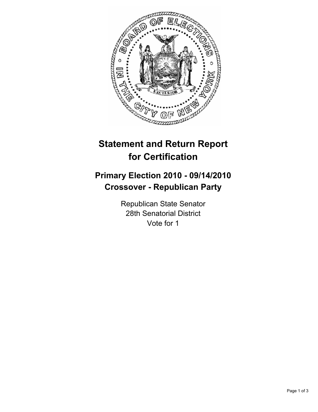

# **Statement and Return Report for Certification**

## **Primary Election 2010 - 09/14/2010 Crossover - Republican Party**

Republican State Senator 28th Senatorial District Vote for 1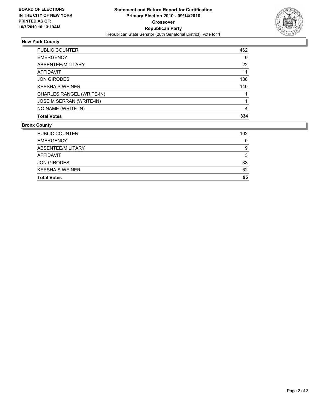

### **New York County**

| NO NAME (WRITE-IN)        | 4   |
|---------------------------|-----|
| JOSE M SERRAN (WRITE-IN)  |     |
| CHARLES RANGEL (WRITE-IN) |     |
| <b>KEESHA S WEINER</b>    | 140 |
| <b>JON GIRODES</b>        | 188 |
| AFFIDAVIT                 | 11  |
| ABSENTEE/MILITARY         | 22  |
| <b>EMERGENCY</b>          | 0   |
| PUBLIC COUNTER            | 462 |

#### **Bronx County**

| PUBLIC COUNTER         | 102 |
|------------------------|-----|
| <b>EMERGENCY</b>       | 0   |
| ABSENTEE/MILITARY      | 9   |
| AFFIDAVIT              | 3   |
| <b>JON GIRODES</b>     | 33  |
| <b>KEESHA S WEINER</b> | 62  |
| <b>Total Votes</b>     | 95  |